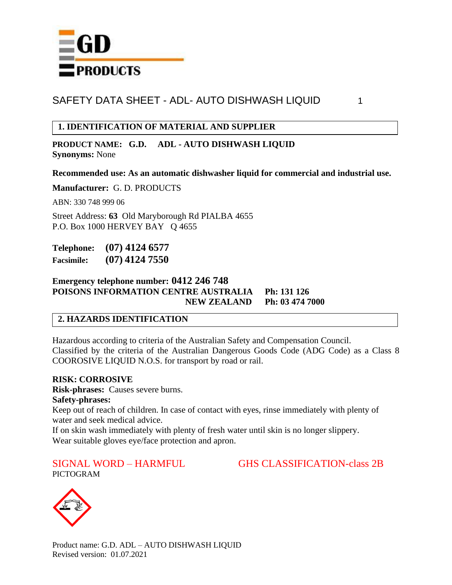

## **1. IDENTIFICATION OF MATERIAL AND SUPPLIER**

**PRODUCT NAME: G.D. ADL - AUTO DISHWASH LIQUID Synonyms:** None

**Recommended use: As an automatic dishwasher liquid for commercial and industrial use.**

**Manufacturer:** G. D. PRODUCTS

ABN: 330 748 999 06

Street Address: **63** Old Maryborough Rd PIALBA 4655 P.O. Box 1000 HERVEY BAY Q 4655

**Telephone: (07) 4124 6577 Facsimile: (07) 4124 7550**

### **Emergency telephone number: 0412 246 748 POISONS INFORMATION CENTRE AUSTRALIA Ph: 131 126 NEW ZEALAND Ph: 03 474 7000**

### **2. HAZARDS IDENTIFICATION**

Hazardous according to criteria of the Australian Safety and Compensation Council. Classified by the criteria of the Australian Dangerous Goods Code (ADG Code) as a Class 8 COOROSIVE LIQUID N.O.S. for transport by road or rail.

### **RISK: CORROSIVE**

**Risk-phrases:** Causes severe burns.

### **Safety-phrases:**

Keep out of reach of children. In case of contact with eyes, rinse immediately with plenty of water and seek medical advice.

If on skin wash immediately with plenty of fresh water until skin is no longer slippery. Wear suitable gloves eye/face protection and apron.

SIGNAL WORD – HARMFUL GHS CLASSIFICATION-class 2B



PICTOGRAM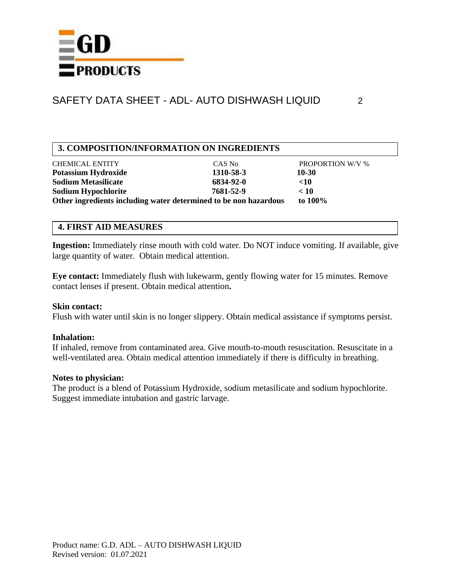

## **3. COMPOSITION/INFORMATION ON INGREDIENTS**

| <b>CHEMICAL ENTITY</b>                                           | CAS No    | <b>PROPORTION W/V %</b> |
|------------------------------------------------------------------|-----------|-------------------------|
| <b>Potassium Hydroxide</b>                                       | 1310-58-3 | 10-30                   |
| <b>Sodium Metasilicate</b>                                       | 6834-92-0 | $<$ 10                  |
| <b>Sodium Hypochlorite</b>                                       | 7681-52-9 | < 10                    |
| Other ingredients including water determined to be non hazardous |           | to $100\%$              |

### **4. FIRST AID MEASURES**

**Ingestion:** Immediately rinse mouth with cold water. Do NOT induce vomiting. If available, give large quantity of water. Obtain medical attention.

**Eye contact:** Immediately flush with lukewarm, gently flowing water for 15 minutes. Remove contact lenses if present. Obtain medical attention**.**

### **Skin contact:**

Flush with water until skin is no longer slippery. Obtain medical assistance if symptoms persist.

### **Inhalation:**

If inhaled, remove from contaminated area. Give mouth-to-mouth resuscitation. Resuscitate in a well-ventilated area. Obtain medical attention immediately if there is difficulty in breathing.

### **Notes to physician:**

The product is a blend of Potassium Hydroxide, sodium metasilicate and sodium hypochlorite. Suggest immediate intubation and gastric larvage.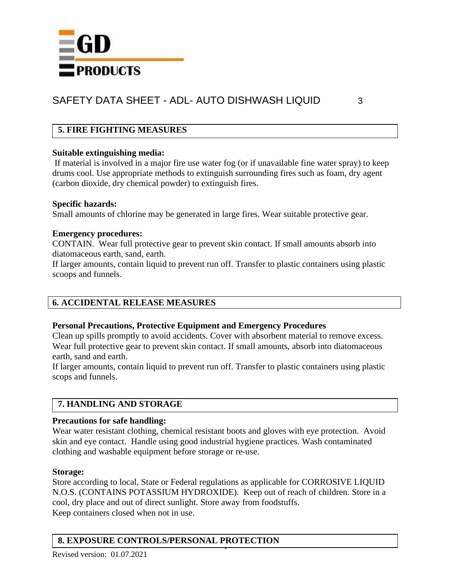

## **5. FIRE FIGHTING MEASURES**

### **Suitable extinguishing media:**

If material is involved in a major fire use water fog (or if unavailable fine water spray) to keep drums cool. Use appropriate methods to extinguish surrounding fires such as foam, dry agent (carbon dioxide, dry chemical powder) to extinguish fires.

### **Specific hazards:**

Small amounts of chlorine may be generated in large fires. Wear suitable protective gear.

### **Emergency procedures:**

CONTAIN. Wear full protective gear to prevent skin contact. If small amounts absorb into diatomaceous earth, sand, earth.

If larger amounts, contain liquid to prevent run off. Transfer to plastic containers using plastic scoops and funnels.

## **6. ACCIDENTAL RELEASE MEASURES**

### **Personal Precautions, Protective Equipment and Emergency Procedures**

Clean up spills promptly to avoid accidents. Cover with absorbent material to remove excess. Wear full protective gear to prevent skin contact. If small amounts, absorb into diatomaceous earth, sand and earth.

If larger amounts, contain liquid to prevent run off. Transfer to plastic containers using plastic scops and funnels.

## **7. HANDLING AND STORAGE**

### **Precautions for safe handling:**

Wear water resistant clothing, chemical resistant boots and gloves with eye protection. Avoid skin and eye contact. Handle using good industrial hygiene practices. Wash contaminated clothing and washable equipment before storage or re-use.

### **Storage:**

Store according to local, State or Federal regulations as applicable for CORROSIVE LIQUID N.O.S. (CONTAINS POTASSIUM HYDROXIDE). Keep out of reach of children. Store in a cool, dry place and out of direct sunlight. Store away from foodstuffs. Keep containers closed when not in use.

# **8. EXPOSURE CONTROLS/PERSONAL PROTECTION**

Revised version: 01.07.2021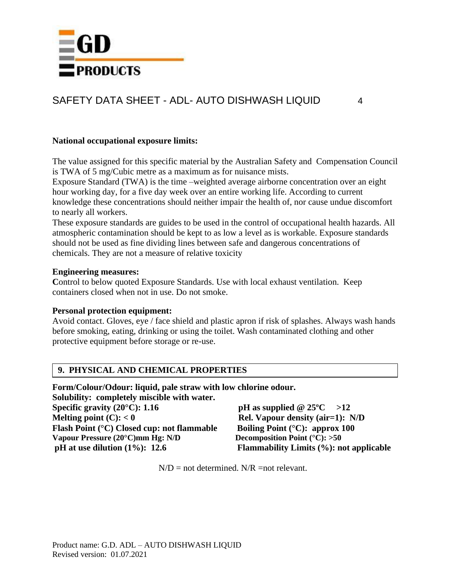

### **National occupational exposure limits:**

The value assigned for this specific material by the Australian Safety and Compensation Council is TWA of 5 mg/Cubic metre as a maximum as for nuisance mists.

Exposure Standard (TWA) is the time –weighted average airborne concentration over an eight hour working day, for a five day week over an entire working life. According to current knowledge these concentrations should neither impair the health of, nor cause undue discomfort to nearly all workers.

These exposure standards are guides to be used in the control of occupational health hazards. All atmospheric contamination should be kept to as low a level as is workable. Exposure standards should not be used as fine dividing lines between safe and dangerous concentrations of chemicals. They are not a measure of relative toxicity

#### **Engineering measures:**

Control to below quoted Exposure Standards. Use with local exhaust ventilation. Keep containers closed when not in use. Do not smoke.

### **Personal protection equipment:**

Avoid contact. Gloves, eye / face shield and plastic apron if risk of splashes. Always wash hands before smoking, eating, drinking or using the toilet. Wash contaminated clothing and other protective equipment before storage or re-use.

### **9. PHYSICAL AND CHEMICAL PROPERTIES**

**Form/Colour/Odour: liquid, pale straw with low chlorine odour.**

**Solubility: completely miscible with water. Specific gravity (20°C):** 1.16 **pH** as supplied  $@ 25$ °C >12 **Melting point (C):**  $< 0$  **Rel. Vapour density (air=1):** N/D **Flash Point (°C) Closed cup: not flammable Boiling Point (°C): approx 100 Vapour Pressure (20°C)mm Hg: N/D Decomposition Point (°C): >50 pH at use dilution (1%): 12.6 Flammability Limits (%): not applicable**

 $N/D$  = not determined.  $N/R$  = not relevant.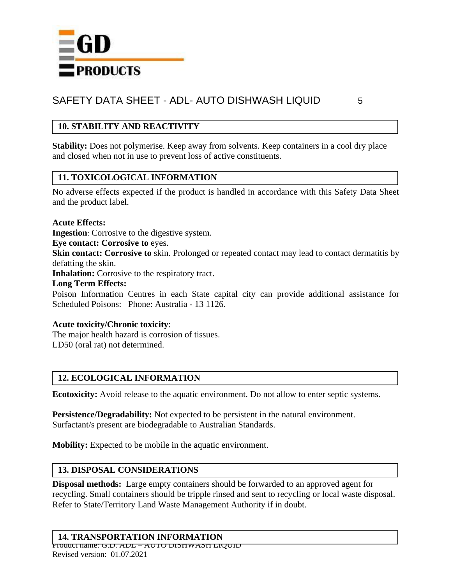

## **10. STABILITY AND REACTIVITY**

**Stability:** Does not polymerise. Keep away from solvents. Keep containers in a cool dry place and closed when not in use to prevent loss of active constituents.

## **11. TOXICOLOGICAL INFORMATION**

No adverse effects expected if the product is handled in accordance with this Safety Data Sheet and the product label.

### **Acute Effects:**

**Ingestion**: Corrosive to the digestive system.

**Eye contact: Corrosive to** eyes.

**Skin contact: Corrosive to** skin. Prolonged or repeated contact may lead to contact dermatitis by defatting the skin.

**Inhalation:** Corrosive to the respiratory tract.

### **Long Term Effects:**

Poison Information Centres in each State capital city can provide additional assistance for Scheduled Poisons: Phone: Australia - 13 1126.

### **Acute toxicity/Chronic toxicity**:

The major health hazard is corrosion of tissues. LD50 (oral rat) not determined.

## **12. ECOLOGICAL INFORMATION**

**Ecotoxicity:** Avoid release to the aquatic environment. Do not allow to enter septic systems.

**Persistence/Degradability:** Not expected to be persistent in the natural environment. Surfactant/s present are biodegradable to Australian Standards.

**Mobility:** Expected to be mobile in the aquatic environment.

### **13. DISPOSAL CONSIDERATIONS**

**Disposal methods:** Large empty containers should be forwarded to an approved agent for recycling. Small containers should be tripple rinsed and sent to recycling or local waste disposal. Refer to State/Territory Land Waste Management Authority if in doubt.

### **14. TRANSPORTATION INFORMATION**